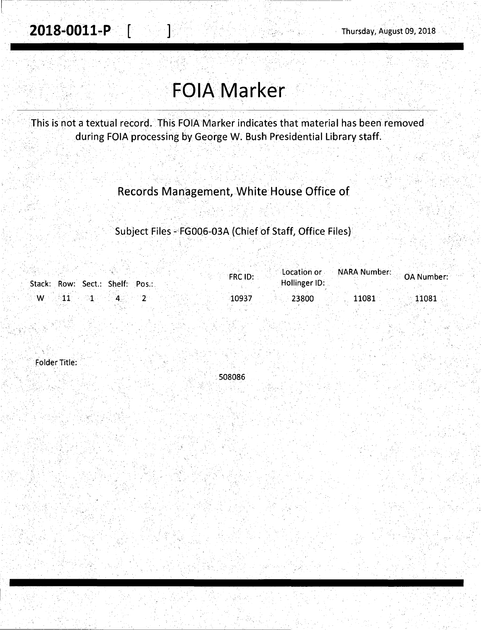1-

# **FOlA.Marker**

. . . . .· . .. '\ . . '

This is not a textual record. This FOIA Marker indicates that material has been removed during FOIA processing by George W. Bush Presidential Library staff.

### Records Management, White House Office of

### Subject Files - FG006-03A (Chief of Staff, Office Files)

|                                 | FRC ID:        | <b>Contact Contact Contact Of Number:</b> OA Number: |
|---------------------------------|----------------|------------------------------------------------------|
| Stack: Row: Sect.: Shelf: Pos.: | Hollinger ID:  |                                                      |
| ं W-                            | 10937<br>23800 | 11081<br>$-11081$                                    |

folder Title:

.508086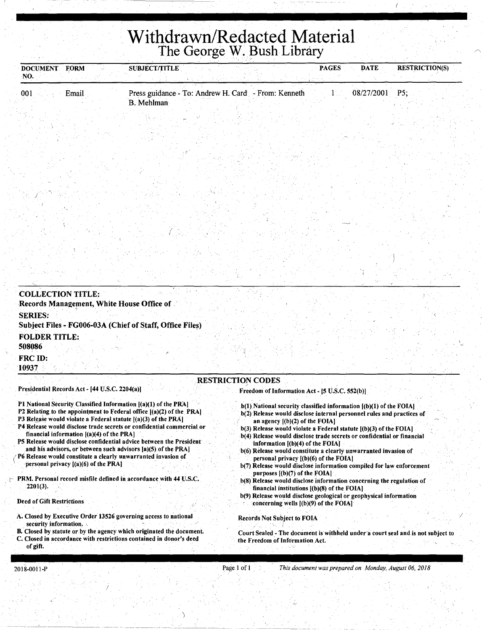# **Withdrawn/Redacted Material**  The George W. Bush Library

| DOCUMENT FORM<br>NO. | <b>SUBJECT/TITLE</b>                                              | <b>DATE</b><br><b>PAGES</b> | <b>RESTRICTION(S)</b> |
|----------------------|-------------------------------------------------------------------|-----------------------------|-----------------------|
| Email<br>001         | Press guidance - To: Andrew H. Card - From: Kenneth<br>B. Mehlman | 08/27/2001                  | $P5$ ;                |
|                      |                                                                   |                             |                       |

| <b>COLLECTION TITLE:</b><br>Records Management, White House Office of      |                          |                                                |  |
|----------------------------------------------------------------------------|--------------------------|------------------------------------------------|--|
| <b>SERIES:</b><br>Subject Files - FG006-03A (Chief of Staff, Office Files) |                          |                                                |  |
| <b>FOLDER TITLE:</b><br>508086                                             |                          |                                                |  |
| FRC ID:<br>10937                                                           |                          |                                                |  |
| Presidential Records Act - [44 U.S.C. 2204(a)]                             | <b>RESTRICTION CODES</b> | Freedom of Information Act - [5 U.S.C. 552(b)] |  |

- Pl National Security Classified Information [(a)(l) of the PAA]
- P2 Relating to the appointment to Federal office [(a)(2) of the PRA)
- P3 Release would violate a Federal statute  $[(a)(3)$  of the PRA]
- P4 Release would disclose trade secrets or confidential commercial or financial information  $[(a)(4)$  of the PRA]
- PS Release would disclose confidential advice between the President and his advisors, or between such advisors [a)(5) of the PRA]
- P6 Release would constitute a clearly unwarranted invasion of personal privacy [(a)(6) of the PRA]
- PRM. Personal record misfile defined in accordance with 44 U.S.C. ' 2201(3).
- Deed of Gift Restrictions

)

- A. Closed by Executive Order 13526 governing access to national security information.
- B. Closed by statute or by the agency which originated the document. Closed in accordance with restrictions contained in donor's deed of gift.
- $b(1)$ . National security classified information  $[(b)(1)$  of the FOIA] b(2) Release would disclose internal personnel rules and practices of
- an agency [(b)(2) of the FOIA]
- b(3) Release would violate a Federal statute [(b)(3) of the FOIA)
- b(4) Release would disclose trade secrets or confidential or financial information  $[(b)(4)$  of the FOIA]
- b(6) Release would constitute a clearly unwarranted invasion of personal privacy [(b)(6) of the FOIA)
- b(7) Release would disclose information compiled for law enforcement purposes [(b)(7) of the FOIA]
- b(8) Release would disclose information concerning the regulation of financial institutions  $[(b)(8)$  of the FOIA]
- b(9) Release would disclose geological or geophysical information concerning wells [(b)(9) of the FOIA]

Records Not Subject to FOIA

Court Sealed - The document is withheld under a court seal and is not subject to the Freedom of Information Act.

/